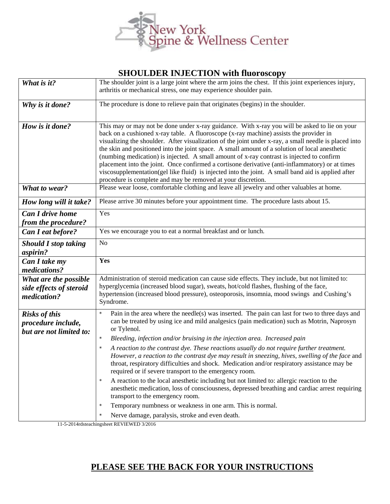

## **SHOULDER INJECTION with fluoroscopy**

| What is it?                                                           | The shoulder joint is a large joint where the arm joins the chest. If this joint experiences injury,<br>arthritis or mechanical stress, one may experience shoulder pain.                                                                                                                                                                                                                                                                                                                                                                                                                                                                                                                                                                                                |
|-----------------------------------------------------------------------|--------------------------------------------------------------------------------------------------------------------------------------------------------------------------------------------------------------------------------------------------------------------------------------------------------------------------------------------------------------------------------------------------------------------------------------------------------------------------------------------------------------------------------------------------------------------------------------------------------------------------------------------------------------------------------------------------------------------------------------------------------------------------|
| Why is it done?                                                       | The procedure is done to relieve pain that originates (begins) in the shoulder.                                                                                                                                                                                                                                                                                                                                                                                                                                                                                                                                                                                                                                                                                          |
| How is it done?                                                       | This may or may not be done under x-ray guidance. With x-ray you will be asked to lie on your<br>back on a cushioned x-ray table. A fluoroscope (x-ray machine) assists the provider in<br>visualizing the shoulder. After visualization of the joint under x-ray, a small needle is placed into<br>the skin and positioned into the joint space. A small amount of a solution of local anesthetic<br>(numbing medication) is injected. A small amount of x-ray contrast is injected to confirm<br>placement into the joint. Once confirmed a cortisone derivative (anti-inflammatory) or at times<br>viscosupplementation(gel like fluid) is injected into the joint. A small band aid is applied after<br>procedure is complete and may be removed at your discretion. |
| What to wear?                                                         | Please wear loose, comfortable clothing and leave all jewelry and other valuables at home.                                                                                                                                                                                                                                                                                                                                                                                                                                                                                                                                                                                                                                                                               |
| How long will it take?                                                | Please arrive 30 minutes before your appointment time. The procedure lasts about 15.                                                                                                                                                                                                                                                                                                                                                                                                                                                                                                                                                                                                                                                                                     |
| <b>Can I drive home</b><br>from the procedure?                        | Yes                                                                                                                                                                                                                                                                                                                                                                                                                                                                                                                                                                                                                                                                                                                                                                      |
| Can I eat before?                                                     | Yes we encourage you to eat a normal breakfast and or lunch.                                                                                                                                                                                                                                                                                                                                                                                                                                                                                                                                                                                                                                                                                                             |
| <b>Should I stop taking</b><br>aspirin?                               | N <sub>o</sub>                                                                                                                                                                                                                                                                                                                                                                                                                                                                                                                                                                                                                                                                                                                                                           |
| Can I take my<br>medications?                                         | Yes                                                                                                                                                                                                                                                                                                                                                                                                                                                                                                                                                                                                                                                                                                                                                                      |
| What are the possible<br>side effects of steroid<br>medication?       | Administration of steroid medication can cause side effects. They include, but not limited to:<br>hyperglycemia (increased blood sugar), sweats, hot/cold flashes, flushing of the face,<br>hypertension (increased blood pressure), osteoporosis, insomnia, mood swings and Cushing's<br>Syndrome.                                                                                                                                                                                                                                                                                                                                                                                                                                                                      |
| <b>Risks of this</b><br>procedure include,<br>but are not limited to: | Pain in the area where the needle(s) was inserted. The pain can last for two to three days and<br>can be treated by using ice and mild analgesics (pain medication) such as Motrin, Naprosyn<br>or Tylenol.<br>Bleeding, infection and/or bruising in the injection area. Increased pain                                                                                                                                                                                                                                                                                                                                                                                                                                                                                 |
|                                                                       | A reaction to the contrast dye. These reactions usually do not require further treatment.<br>$\star$<br>However, a reaction to the contrast dye may result in sneezing, hives, swelling of the face and<br>throat, respiratory difficulties and shock. Medication and/or respiratory assistance may be<br>required or if severe transport to the emergency room.                                                                                                                                                                                                                                                                                                                                                                                                         |
|                                                                       | A reaction to the local anesthetic including but not limited to: allergic reaction to the<br>anesthetic medication, loss of consciousness, depressed breathing and cardiac arrest requiring<br>transport to the emergency room.                                                                                                                                                                                                                                                                                                                                                                                                                                                                                                                                          |
|                                                                       | Temporary numbness or weakness in one arm. This is normal.<br>$\star$<br>Nerve damage, paralysis, stroke and even death.                                                                                                                                                                                                                                                                                                                                                                                                                                                                                                                                                                                                                                                 |
|                                                                       | EVIEWED $2/2016$                                                                                                                                                                                                                                                                                                                                                                                                                                                                                                                                                                                                                                                                                                                                                         |

11-5-2014rdsteachingsheet REVIEWED 3/2016

## **PLEASE SEE THE BACK FOR YOUR INSTRUCTIONS**